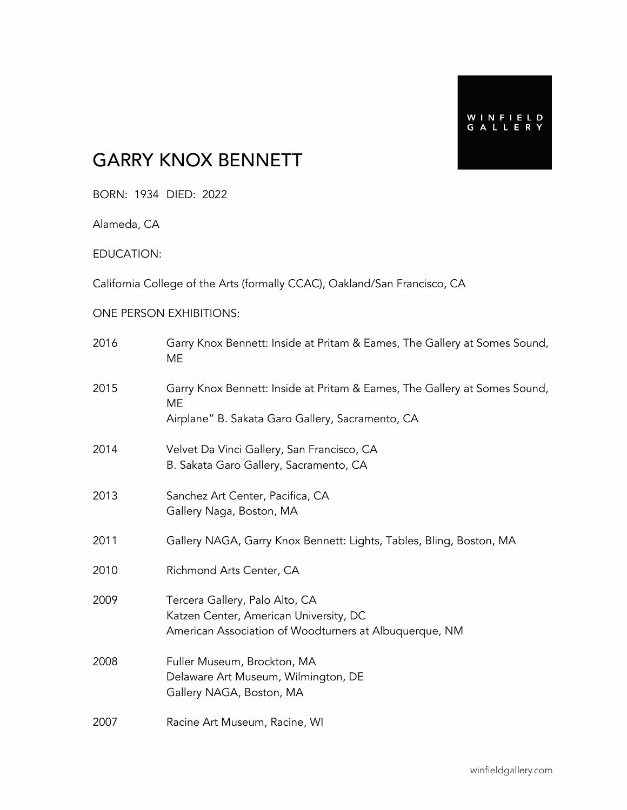## GARRY KNOX BENNETT

BORN: 1934 DIED: 2022

Alameda, CA

EDUCATION:

California College of the Arts (formally CCAC), Oakland/San Francisco, CA

#### ONE PERSON EXHIBITIONS:

| 2016 | Garry Knox Bennett: Inside at Pritam & Eames, The Gallery at Somes Sound,<br>ME                                                     |
|------|-------------------------------------------------------------------------------------------------------------------------------------|
| 2015 | Garry Knox Bennett: Inside at Pritam & Eames, The Gallery at Somes Sound,<br>ME<br>Airplane" B. Sakata Garo Gallery, Sacramento, CA |
| 2014 | Velvet Da Vinci Gallery, San Francisco, CA<br>B. Sakata Garo Gallery, Sacramento, CA                                                |
| 2013 | Sanchez Art Center, Pacifica, CA<br>Gallery Naga, Boston, MA                                                                        |
| 2011 | Gallery NAGA, Garry Knox Bennett: Lights, Tables, Bling, Boston, MA                                                                 |
| 2010 | Richmond Arts Center, CA                                                                                                            |
| 2009 | Tercera Gallery, Palo Alto, CA<br>Katzen Center, American University, DC<br>American Association of Woodturners at Albuquerque, NM  |
| 2008 | Fuller Museum, Brockton, MA<br>Delaware Art Museum, Wilmington, DE<br>Gallery NAGA, Boston, MA                                      |
| 2007 | Racine Art Museum, Racine, WI                                                                                                       |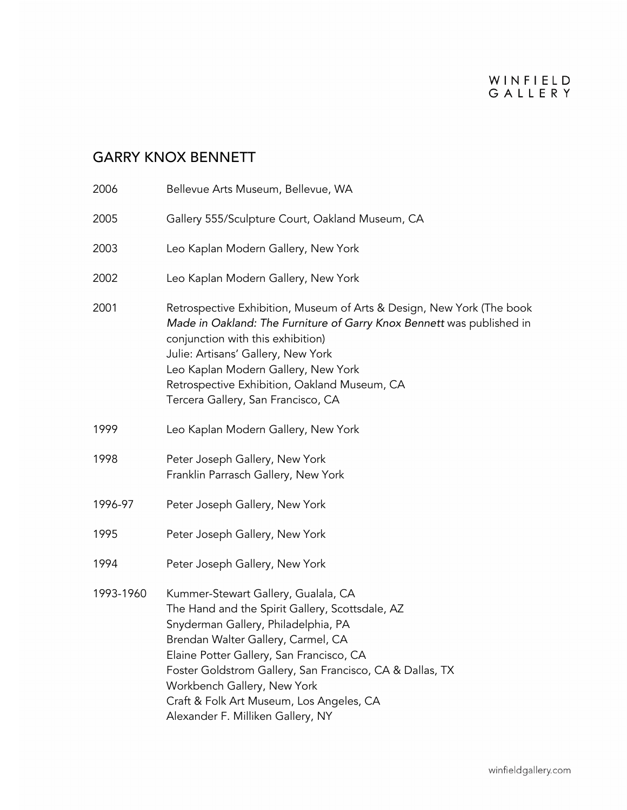## GARRY KNOX BENNETT

| 2006      | Bellevue Arts Museum, Bellevue, WA                                                                                                                                                                                                                                                                                                                                                          |
|-----------|---------------------------------------------------------------------------------------------------------------------------------------------------------------------------------------------------------------------------------------------------------------------------------------------------------------------------------------------------------------------------------------------|
| 2005      | Gallery 555/Sculpture Court, Oakland Museum, CA                                                                                                                                                                                                                                                                                                                                             |
| 2003      | Leo Kaplan Modern Gallery, New York                                                                                                                                                                                                                                                                                                                                                         |
| 2002      | Leo Kaplan Modern Gallery, New York                                                                                                                                                                                                                                                                                                                                                         |
| 2001      | Retrospective Exhibition, Museum of Arts & Design, New York (The book<br>Made in Oakland: The Furniture of Garry Knox Bennett was published in<br>conjunction with this exhibition)<br>Julie: Artisans' Gallery, New York<br>Leo Kaplan Modern Gallery, New York<br>Retrospective Exhibition, Oakland Museum, CA<br>Tercera Gallery, San Francisco, CA                                      |
| 1999      | Leo Kaplan Modern Gallery, New York                                                                                                                                                                                                                                                                                                                                                         |
| 1998      | Peter Joseph Gallery, New York<br>Franklin Parrasch Gallery, New York                                                                                                                                                                                                                                                                                                                       |
| 1996-97   | Peter Joseph Gallery, New York                                                                                                                                                                                                                                                                                                                                                              |
| 1995      | Peter Joseph Gallery, New York                                                                                                                                                                                                                                                                                                                                                              |
| 1994      | Peter Joseph Gallery, New York                                                                                                                                                                                                                                                                                                                                                              |
| 1993-1960 | Kummer-Stewart Gallery, Gualala, CA<br>The Hand and the Spirit Gallery, Scottsdale, AZ<br>Snyderman Gallery, Philadelphia, PA<br>Brendan Walter Gallery, Carmel, CA<br>Elaine Potter Gallery, San Francisco, CA<br>Foster Goldstrom Gallery, San Francisco, CA & Dallas, TX<br>Workbench Gallery, New York<br>Craft & Folk Art Museum, Los Angeles, CA<br>Alexander F. Milliken Gallery, NY |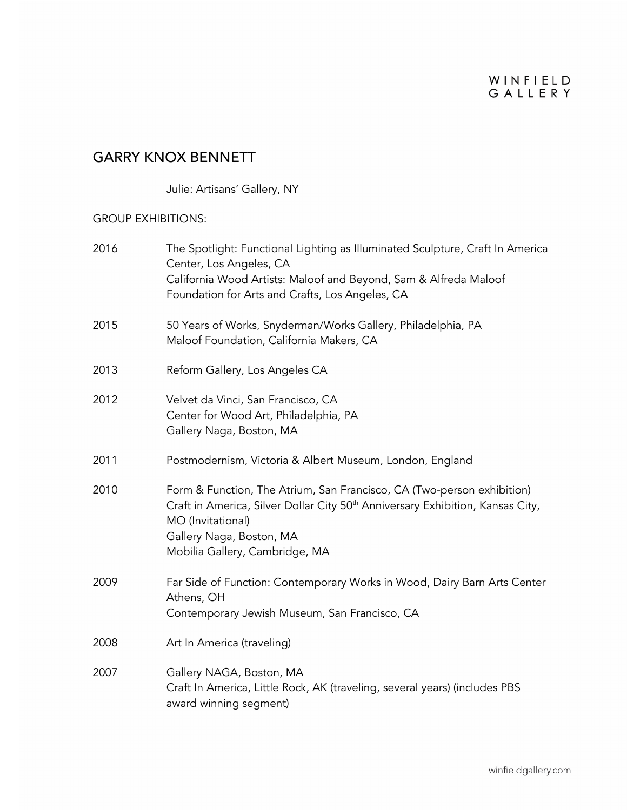## GARRY KNOX BENNETT

Julie: Artisans' Gallery, NY

#### GROUP EXHIBITIONS:

| 2016 | The Spotlight: Functional Lighting as Illuminated Sculpture, Craft In America<br>Center, Los Angeles, CA<br>California Wood Artists: Maloof and Beyond, Sam & Alfreda Maloof<br>Foundation for Arts and Crafts, Los Angeles, CA                         |
|------|---------------------------------------------------------------------------------------------------------------------------------------------------------------------------------------------------------------------------------------------------------|
| 2015 | 50 Years of Works, Snyderman/Works Gallery, Philadelphia, PA<br>Maloof Foundation, California Makers, CA                                                                                                                                                |
| 2013 | Reform Gallery, Los Angeles CA                                                                                                                                                                                                                          |
| 2012 | Velvet da Vinci, San Francisco, CA<br>Center for Wood Art, Philadelphia, PA<br>Gallery Naga, Boston, MA                                                                                                                                                 |
| 2011 | Postmodernism, Victoria & Albert Museum, London, England                                                                                                                                                                                                |
| 2010 | Form & Function, The Atrium, San Francisco, CA (Two-person exhibition)<br>Craft in America, Silver Dollar City 50 <sup>th</sup> Anniversary Exhibition, Kansas City,<br>MO (Invitational)<br>Gallery Naga, Boston, MA<br>Mobilia Gallery, Cambridge, MA |
| 2009 | Far Side of Function: Contemporary Works in Wood, Dairy Barn Arts Center<br>Athens, OH<br>Contemporary Jewish Museum, San Francisco, CA                                                                                                                 |
| 2008 | Art In America (traveling)                                                                                                                                                                                                                              |
| 2007 | Gallery NAGA, Boston, MA<br>Craft In America, Little Rock, AK (traveling, several years) (includes PBS<br>award winning segment)                                                                                                                        |
|      |                                                                                                                                                                                                                                                         |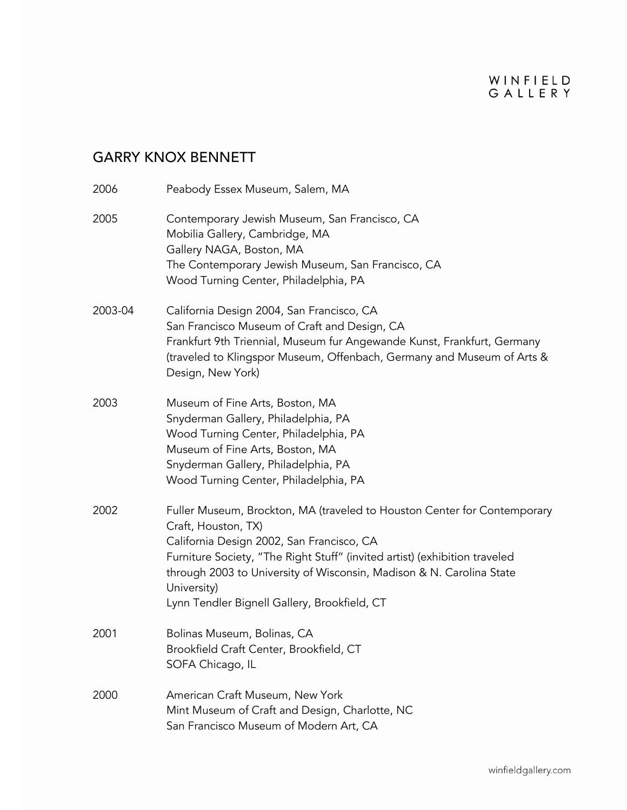## GARRY KNOX BENNETT

| 2006    | Peabody Essex Museum, Salem, MA                                                                                                                                                                                                                                                                                                                                   |
|---------|-------------------------------------------------------------------------------------------------------------------------------------------------------------------------------------------------------------------------------------------------------------------------------------------------------------------------------------------------------------------|
| 2005    | Contemporary Jewish Museum, San Francisco, CA<br>Mobilia Gallery, Cambridge, MA<br>Gallery NAGA, Boston, MA<br>The Contemporary Jewish Museum, San Francisco, CA<br>Wood Turning Center, Philadelphia, PA                                                                                                                                                         |
| 2003-04 | California Design 2004, San Francisco, CA<br>San Francisco Museum of Craft and Design, CA<br>Frankfurt 9th Triennial, Museum fur Angewande Kunst, Frankfurt, Germany<br>(traveled to Klingspor Museum, Offenbach, Germany and Museum of Arts &<br>Design, New York)                                                                                               |
| 2003    | Museum of Fine Arts, Boston, MA<br>Snyderman Gallery, Philadelphia, PA<br>Wood Turning Center, Philadelphia, PA<br>Museum of Fine Arts, Boston, MA<br>Snyderman Gallery, Philadelphia, PA<br>Wood Turning Center, Philadelphia, PA                                                                                                                                |
| 2002    | Fuller Museum, Brockton, MA (traveled to Houston Center for Contemporary<br>Craft, Houston, TX)<br>California Design 2002, San Francisco, CA<br>Furniture Society, "The Right Stuff" (invited artist) (exhibition traveled<br>through 2003 to University of Wisconsin, Madison & N. Carolina State<br>University)<br>Lynn Tendler Bignell Gallery, Brookfield, CT |
| 2001    | Bolinas Museum, Bolinas, CA<br>Brookfield Craft Center, Brookfield, CT<br>SOFA Chicago, IL                                                                                                                                                                                                                                                                        |
| 2000    | American Craft Museum, New York<br>Mint Museum of Craft and Design, Charlotte, NC<br>San Francisco Museum of Modern Art, CA                                                                                                                                                                                                                                       |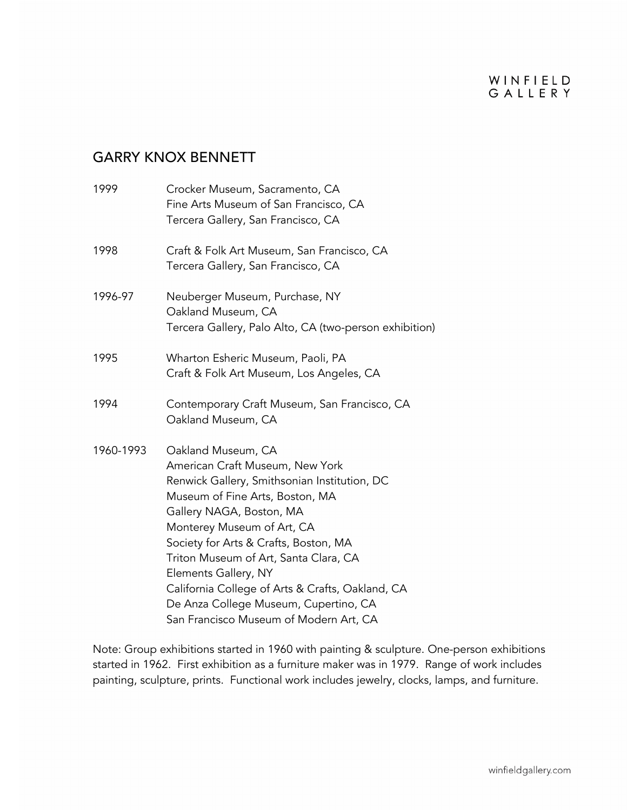#### WINFIELD GALLERY

### GARRY KNOX BENNETT

| 1999      | Crocker Museum, Sacramento, CA<br>Fine Arts Museum of San Francisco, CA<br>Tercera Gallery, San Francisco, CA                                                                                                                                                                                                                                                                                                                                       |
|-----------|-----------------------------------------------------------------------------------------------------------------------------------------------------------------------------------------------------------------------------------------------------------------------------------------------------------------------------------------------------------------------------------------------------------------------------------------------------|
| 1998      | Craft & Folk Art Museum, San Francisco, CA<br>Tercera Gallery, San Francisco, CA                                                                                                                                                                                                                                                                                                                                                                    |
| 1996-97   | Neuberger Museum, Purchase, NY<br>Oakland Museum, CA<br>Tercera Gallery, Palo Alto, CA (two-person exhibition)                                                                                                                                                                                                                                                                                                                                      |
| 1995      | Wharton Esheric Museum, Paoli, PA<br>Craft & Folk Art Museum, Los Angeles, CA                                                                                                                                                                                                                                                                                                                                                                       |
| 1994      | Contemporary Craft Museum, San Francisco, CA<br>Oakland Museum, CA                                                                                                                                                                                                                                                                                                                                                                                  |
| 1960-1993 | Oakland Museum, CA<br>American Craft Museum, New York<br>Renwick Gallery, Smithsonian Institution, DC<br>Museum of Fine Arts, Boston, MA<br>Gallery NAGA, Boston, MA<br>Monterey Museum of Art, CA<br>Society for Arts & Crafts, Boston, MA<br>Triton Museum of Art, Santa Clara, CA<br>Elements Gallery, NY<br>California College of Arts & Crafts, Oakland, CA<br>De Anza College Museum, Cupertino, CA<br>San Francisco Museum of Modern Art, CA |

Note: Group exhibitions started in 1960 with painting & sculpture. One-person exhibitions started in 1962. First exhibition as a furniture maker was in 1979. Range of work includes painting, sculpture, prints. Functional work includes jewelry, clocks, lamps, and furniture.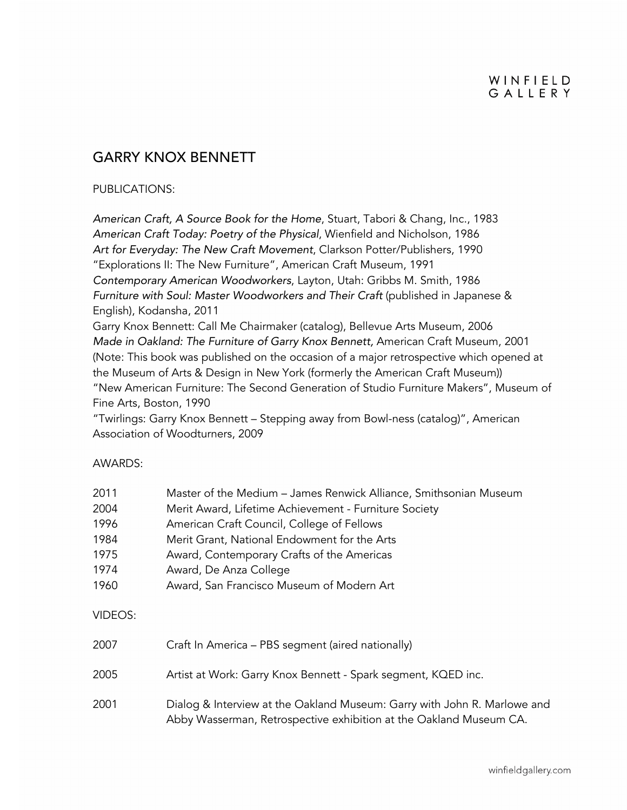### GARRY KNOX BENNETT

#### PUBLICATIONS:

*American Craft, A Source Book for the Home*, Stuart, Tabori & Chang, Inc., 1983 *American Craft Today: Poetry of the Physical*, Wienfield and Nicholson, 1986 *Art for Everyday: The New Craft Movement*, Clarkson Potter/Publishers, 1990 "Explorations II: The New Furniture", American Craft Museum, 1991 *Contemporary American Woodworkers*, Layton, Utah: Gribbs M. Smith, 1986 *Furniture with Soul: Master Woodworkers and Their Craft* (published in Japanese & English), Kodansha, 2011

Garry Knox Bennett: Call Me Chairmaker (catalog), Bellevue Arts Museum, 2006 *Made in Oakland: The Furniture of Garry Knox Bennett,* American Craft Museum, 2001 (Note: This book was published on the occasion of a major retrospective which opened at the Museum of Arts & Design in New York (formerly the American Craft Museum)) "New American Furniture: The Second Generation of Studio Furniture Makers", Museum of Fine Arts, Boston, 1990

"Twirlings: Garry Knox Bennett – Stepping away from Bowl-ness (catalog)", American Association of Woodturners, 2009

#### AWARDS:

| 2011    | Master of the Medium - James Renwick Alliance, Smithsonian Museum |
|---------|-------------------------------------------------------------------|
| 2004    | Merit Award, Lifetime Achievement - Furniture Society             |
| 1996    | American Craft Council, College of Fellows                        |
| 1984    | Merit Grant, National Endowment for the Arts                      |
| 1975    | Award, Contemporary Crafts of the Americas                        |
| 1974    | Award, De Anza College                                            |
| 1960    | Award, San Francisco Museum of Modern Art                         |
| VIDEOS: |                                                                   |

| 2007 | Craft In America - PBS segment (aired nationally)                                                                                              |
|------|------------------------------------------------------------------------------------------------------------------------------------------------|
| 2005 | Artist at Work: Garry Knox Bennett - Spark segment, KQED inc.                                                                                  |
| 2001 | Dialog & Interview at the Oakland Museum: Garry with John R. Marlowe and<br>Abby Wasserman, Retrospective exhibition at the Oakland Museum CA. |